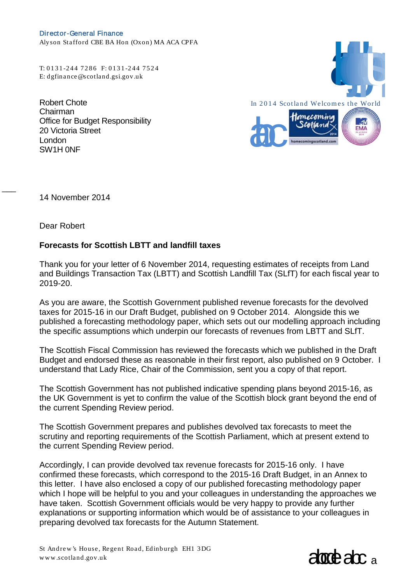Director-General Finance Alyson Stafford CBE BA Hon (Oxon) MA ACA CPFA

T: 0 1 3 1 -244 7286 F: 0 1 3 1 -244 7524

Robert Chote Chairman Office for Budget Responsibility 20 Victoria Street London SW1H 0NF



14 November 2014

Dear Robert

 $\overline{\phantom{a}}$ 

## **Forecasts for Scottish LBTT and landfill taxes**

Thank you for your letter of 6 November 2014, requesting estimates of receipts from Land and Buildings Transaction Tax (LBTT) and Scottish Landfill Tax (SLfT) for each fiscal year to 2019-20.

As you are aware, the Scottish Government published revenue forecasts for the devolved taxes for 2015-16 in our Draft Budget, published on 9 October 2014. Alongside this we published a forecasting methodology paper, which sets out our modelling approach including the specific assumptions which underpin our forecasts of revenues from LBTT and SLfT.

The Scottish Fiscal Commission has reviewed the forecasts which we published in the Draft Budget and endorsed these as reasonable in their first report, also published on 9 October. I understand that Lady Rice, Chair of the Commission, sent you a copy of that report.

The Scottish Government has not published indicative spending plans beyond 2015-16, as the UK Government is yet to confirm the value of the Scottish block grant beyond the end of the current Spending Review period.

The Scottish Government prepares and publishes devolved tax forecasts to meet the scrutiny and reporting requirements of the Scottish Parliament, which at present extend to the current Spending Review period.

Accordingly, I can provide devolved tax revenue forecasts for 2015-16 only. I have confirmed these forecasts, which correspond to the 2015-16 Draft Budget, in an Annex to this letter. I have also enclosed a copy of our published forecasting methodology paper which I hope will be helpful to you and your colleagues in understanding the approaches we have taken. Scottish Government officials would be very happy to provide any further explanations or supporting information which would be of assistance to your colleagues in preparing devolved tax forecasts for the Autumn Statement.

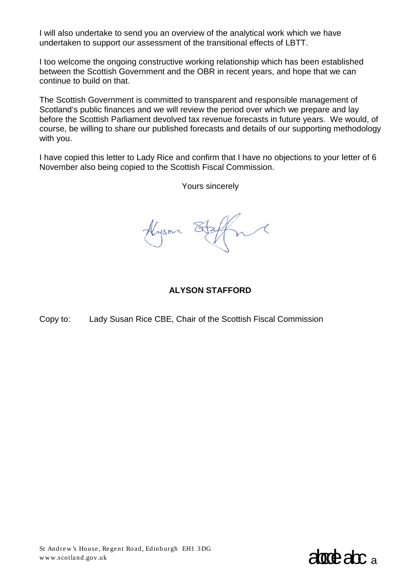I will also undertake to send you an overview of the analytical work which we have undertaken to support our assessment of the transitional effects of LBTT.

I too welcome the ongoing constructive working relationship which has been established between the Scottish Government and the OBR in recent years, and hope that we can continue to build on that.

The Scottish Government is committed to transparent and responsible management of Scotland's public finances and we will review the period over which we prepare and lay before the Scottish Parliament devolved tax revenue forecasts in future years. We would, of course, be willing to share our published forecasts and details of our supporting methodology with you.

I have copied this letter to Lady Rice and confirm that I have no objections to your letter of 6 November also being copied to the Scottish Fiscal Commission.

Yours sincerely

Hyson

## **ALYSON STAFFORD**

Copy to: Lady Susan Rice CBE, Chair of the Scottish Fiscal Commission